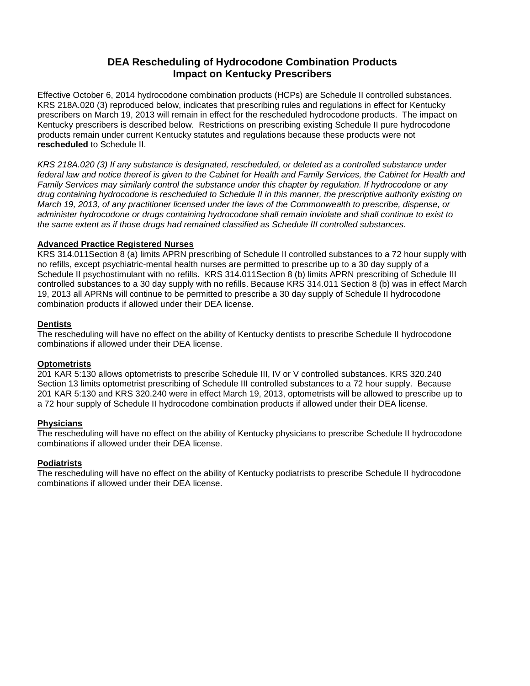# **DEA Rescheduling of Hydrocodone Combination Products Impact on Kentucky Prescribers**

Effective October 6, 2014 hydrocodone combination products (HCPs) are Schedule II controlled substances. KRS 218A.020 (3) reproduced below, indicates that prescribing rules and regulations in effect for Kentucky prescribers on March 19, 2013 will remain in effect for the rescheduled hydrocodone products. The impact on Kentucky prescribers is described below. Restrictions on prescribing existing Schedule II pure hydrocodone products remain under current Kentucky statutes and regulations because these products were not **rescheduled** to Schedule II.

*KRS 218A.020 (3) If any substance is designated, rescheduled, or deleted as a controlled substance under federal law and notice thereof is given to the Cabinet for Health and Family Services, the Cabinet for Health and Family Services may similarly control the substance under this chapter by regulation. If hydrocodone or any drug containing hydrocodone is rescheduled to Schedule II in this manner, the prescriptive authority existing on March 19, 2013, of any practitioner licensed under the laws of the Commonwealth to prescribe, dispense, or administer hydrocodone or drugs containing hydrocodone shall remain inviolate and shall continue to exist to the same extent as if those drugs had remained classified as Schedule III controlled substances.*

#### **Advanced Practice Registered Nurses**

KRS 314.011Section 8 (a) limits APRN prescribing of Schedule II controlled substances to a 72 hour supply with no refills, except psychiatric-mental health nurses are permitted to prescribe up to a 30 day supply of a Schedule II psychostimulant with no refills. KRS 314.011Section 8 (b) limits APRN prescribing of Schedule III controlled substances to a 30 day supply with no refills. Because KRS 314.011 Section 8 (b) was in effect March 19, 2013 all APRNs will continue to be permitted to prescribe a 30 day supply of Schedule II hydrocodone combination products if allowed under their DEA license.

#### **Dentists**

The rescheduling will have no effect on the ability of Kentucky dentists to prescribe Schedule II hydrocodone combinations if allowed under their DEA license.

#### **Optometrists**

201 KAR 5:130 allows optometrists to prescribe Schedule III, IV or V controlled substances. KRS 320.240 Section 13 limits optometrist prescribing of Schedule III controlled substances to a 72 hour supply. Because 201 KAR 5:130 and KRS 320.240 were in effect March 19, 2013, optometrists will be allowed to prescribe up to a 72 hour supply of Schedule II hydrocodone combination products if allowed under their DEA license.

#### **Physicians**

The rescheduling will have no effect on the ability of Kentucky physicians to prescribe Schedule II hydrocodone combinations if allowed under their DEA license.

#### **Podiatrists**

The rescheduling will have no effect on the ability of Kentucky podiatrists to prescribe Schedule II hydrocodone combinations if allowed under their DEA license.